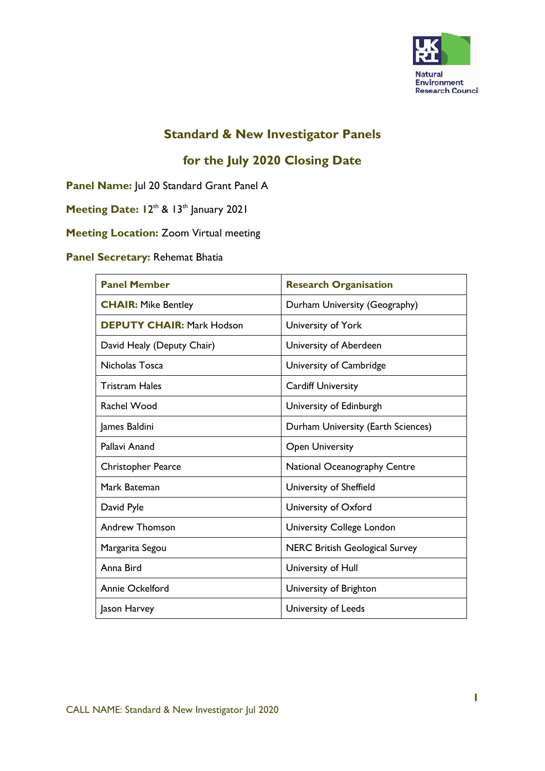

### **Standard & New Investigator Panels**

# **for the July 2020 Closing Date**

**Panel Name:** Jul 20 Standard Grant Panel A

Meeting Date: 12<sup>th</sup> & 13<sup>th</sup> January 2021

**Meeting Location:** Zoom Virtual meeting

#### **Panel Secretary:** Rehemat Bhatia

| <b>Panel Member</b>              | <b>Research Organisation</b>          |
|----------------------------------|---------------------------------------|
| <b>CHAIR: Mike Bentley</b>       | Durham University (Geography)         |
| <b>DEPUTY CHAIR: Mark Hodson</b> | University of York                    |
| David Healy (Deputy Chair)       | University of Aberdeen                |
| Nicholas Tosca                   | University of Cambridge               |
| <b>Tristram Hales</b>            | <b>Cardiff University</b>             |
| Rachel Wood                      | University of Edinburgh               |
| James Baldini                    | Durham University (Earth Sciences)    |
| Pallavi Anand                    | <b>Open University</b>                |
| Christopher Pearce               | National Oceanography Centre          |
| Mark Bateman                     | University of Sheffield               |
| David Pyle                       | University of Oxford                  |
| <b>Andrew Thomson</b>            | <b>University College London</b>      |
| Margarita Segou                  | <b>NERC British Geological Survey</b> |
| Anna Bird                        | University of Hull                    |
| <b>Annie Ockelford</b>           | University of Brighton                |
| Jason Harvey                     | University of Leeds                   |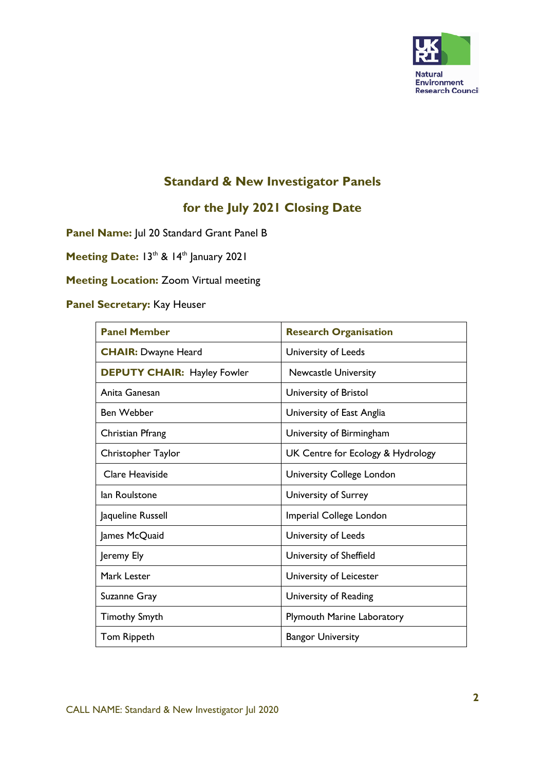

# **Standard & New Investigator Panels**

# **for the July 2021 Closing Date**

**Panel Name:** Jul 20 Standard Grant Panel B

Meeting Date: 13<sup>th</sup> & 14<sup>th</sup> January 2021

### **Meeting Location:** Zoom Virtual meeting

# **Panel Secretary:** Kay Heuser

| <b>Panel Member</b>                | <b>Research Organisation</b>      |
|------------------------------------|-----------------------------------|
| <b>CHAIR: Dwayne Heard</b>         | University of Leeds               |
| <b>DEPUTY CHAIR: Hayley Fowler</b> | <b>Newcastle University</b>       |
| Anita Ganesan                      | University of Bristol             |
| <b>Ben Webber</b>                  | University of East Anglia         |
| Christian Pfrang                   | University of Birmingham          |
| Christopher Taylor                 | UK Centre for Ecology & Hydrology |
| Clare Heaviside                    | University College London         |
| lan Roulstone                      | University of Surrey              |
| Jaqueline Russell                  | Imperial College London           |
| James McQuaid                      | University of Leeds               |
| Jeremy Ely                         | University of Sheffield           |
| Mark Lester                        | University of Leicester           |
| Suzanne Gray                       | University of Reading             |
| <b>Timothy Smyth</b>               | <b>Plymouth Marine Laboratory</b> |
| Tom Rippeth                        | <b>Bangor University</b>          |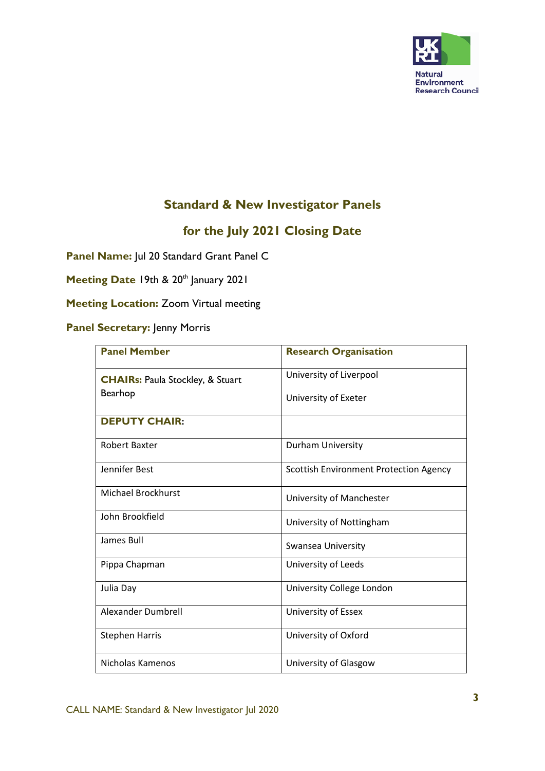

### **Standard & New Investigator Panels**

# **for the July 2021 Closing Date**

**Panel Name:** Jul 20 Standard Grant Panel C

Meeting Date 19th & 20<sup>th</sup> January 2021

**Meeting Location:** Zoom Virtual meeting

#### **Panel Secretary:** Jenny Morris

| <b>Panel Member</b>                         | <b>Research Organisation</b>                  |
|---------------------------------------------|-----------------------------------------------|
| <b>CHAIRs: Paula Stockley, &amp; Stuart</b> | University of Liverpool                       |
| <b>Bearhop</b>                              | University of Exeter                          |
| <b>DEPUTY CHAIR:</b>                        |                                               |
| <b>Robert Baxter</b>                        | <b>Durham University</b>                      |
| Jennifer Best                               | <b>Scottish Environment Protection Agency</b> |
| <b>Michael Brockhurst</b>                   | University of Manchester                      |
| John Brookfield                             | University of Nottingham                      |
| James Bull                                  | Swansea University                            |
| Pippa Chapman                               | University of Leeds                           |
| Julia Day                                   | University College London                     |
| Alexander Dumbrell                          | University of Essex                           |
| <b>Stephen Harris</b>                       | University of Oxford                          |
| Nicholas Kamenos                            | University of Glasgow                         |